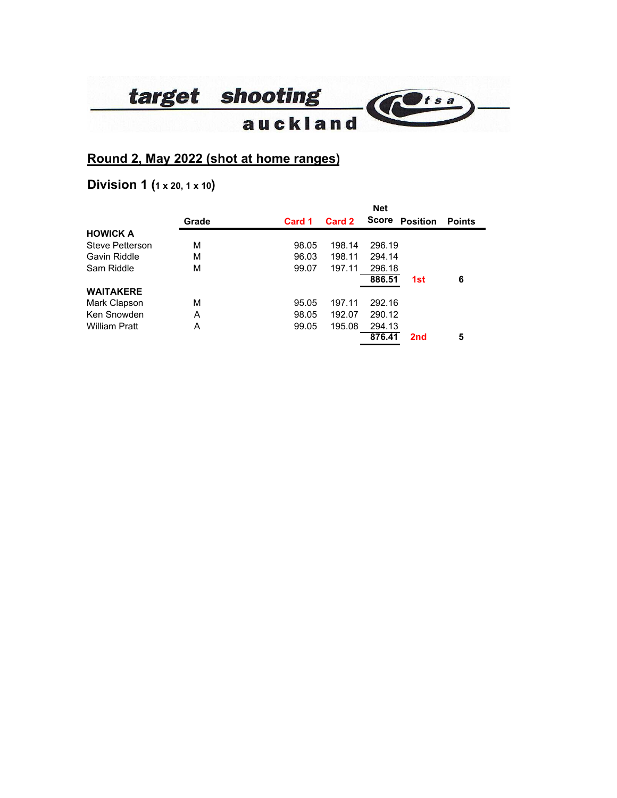

# **Round 2, May 2022 (shot at home ranges)**

# **Division 1 (1 x 20, 1 x 10)**

|                  |       |        |        | <b>Net</b>   |                 |               |
|------------------|-------|--------|--------|--------------|-----------------|---------------|
|                  | Grade | Card 1 | Card 2 | <b>Score</b> | <b>Position</b> | <b>Points</b> |
| <b>HOWICK A</b>  |       |        |        |              |                 |               |
| Steve Petterson  | м     | 98.05  | 198.14 | 296.19       |                 |               |
| Gavin Riddle     | м     | 96.03  | 198.11 | 294.14       |                 |               |
| Sam Riddle       | м     | 99.07  | 197.11 | 296.18       |                 |               |
|                  |       |        |        | 886.51       | 1st             | 6             |
| <b>WAITAKERE</b> |       |        |        |              |                 |               |
| Mark Clapson     | М     | 95.05  | 197.11 | 292.16       |                 |               |
| Ken Snowden      | A     | 98.05  | 192.07 | 290.12       |                 |               |
| William Pratt    | А     | 99.05  | 195.08 | 294.13       |                 |               |
|                  |       |        |        | 876.41       | 2 <sub>nd</sub> | 5             |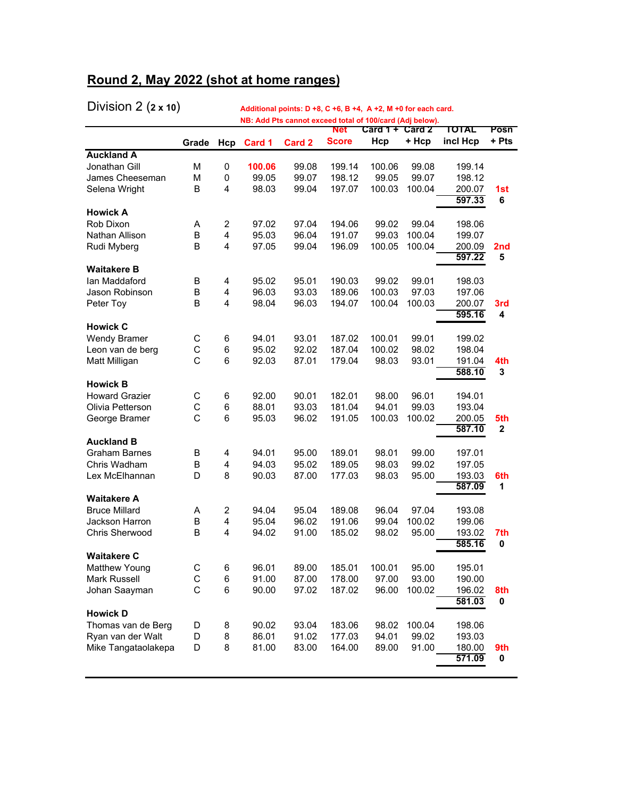# **Round 2, May 2022 (shot at home ranges)**

| $\mathbf{v}$ ividio is a set of $\mathbf{v}$ |        |                         |                |                | Additional politics. D +6, C +6, B +4, A +2, M +0 for each card.<br>NB: Add Pts cannot exceed total of 100/card (Adj below). |                   |                 |                  |                 |
|----------------------------------------------|--------|-------------------------|----------------|----------------|------------------------------------------------------------------------------------------------------------------------------|-------------------|-----------------|------------------|-----------------|
|                                              |        |                         |                |                | <b>Net</b>                                                                                                                   | Card $1 +$ Card 2 |                 | TOTAL            | Posn            |
|                                              | Grade  | Hcp                     | Card 1         | Card 2         | <b>Score</b>                                                                                                                 | Hcp               | + Hcp           | incl Hcp         | + Pts           |
| <b>Auckland A</b>                            |        |                         |                |                |                                                                                                                              |                   |                 |                  |                 |
| Jonathan Gill                                | М      | 0                       | 100.06         | 99.08          | 199.14                                                                                                                       | 100.06            | 99.08           | 199.14           |                 |
| James Cheeseman                              | М      | 0                       | 99.05          | 99.07          | 198.12                                                                                                                       | 99.05             | 99.07           | 198.12           |                 |
| Selena Wright                                | B      | 4                       | 98.03          | 99.04          | 197.07                                                                                                                       | 100.03            | 100.04          | 200.07<br>597.33 | 1st<br>6        |
| <b>Howick A</b>                              |        |                         |                |                |                                                                                                                              |                   |                 |                  |                 |
| Rob Dixon                                    | Α      | $\overline{c}$          | 97.02          | 97.04          | 194.06                                                                                                                       | 99.02             | 99.04           | 198.06           |                 |
| Nathan Allison                               | B      | 4                       | 95.03          | 96.04          | 191.07                                                                                                                       | 99.03             | 100.04          | 199.07           |                 |
| Rudi Myberg                                  | B      | 4                       | 97.05          | 99.04          | 196.09                                                                                                                       | 100.05            | 100.04          | 200.09           | 2 <sub>nd</sub> |
|                                              |        |                         |                |                |                                                                                                                              |                   |                 | 597.22           | 5               |
| <b>Waitakere B</b>                           |        |                         |                |                |                                                                                                                              |                   |                 |                  |                 |
| lan Maddaford                                | В      | 4                       | 95.02          | 95.01          | 190.03                                                                                                                       | 99.02             | 99.01           | 198.03           |                 |
| Jason Robinson                               | B      | 4                       | 96.03          | 93.03          | 189.06                                                                                                                       | 100.03            | 97.03           | 197.06           |                 |
| Peter Toy                                    | B      | $\overline{4}$          | 98.04          | 96.03          | 194.07                                                                                                                       | 100.04            | 100.03          | 200.07           | 3rd             |
| <b>Howick C</b>                              |        |                         |                |                |                                                                                                                              |                   |                 | 595.16           | 4               |
| <b>Wendy Bramer</b>                          | С      | 6                       | 94.01          | 93.01          | 187.02                                                                                                                       | 100.01            | 99.01           | 199.02           |                 |
| Leon van de berg                             | С      | 6                       | 95.02          | 92.02          | 187.04                                                                                                                       | 100.02            | 98.02           | 198.04           |                 |
| Matt Milligan                                | C      | 6                       | 92.03          | 87.01          | 179.04                                                                                                                       | 98.03             | 93.01           | 191.04           | 4th             |
|                                              |        |                         |                |                |                                                                                                                              |                   |                 | 588.10           | 3               |
| <b>Howick B</b>                              |        |                         |                |                |                                                                                                                              |                   |                 |                  |                 |
| <b>Howard Grazier</b>                        | С      | 6                       | 92.00          | 90.01          | 182.01                                                                                                                       | 98.00             | 96.01           | 194.01           |                 |
| Olivia Petterson                             | С      | 6                       | 88.01          | 93.03          | 181.04                                                                                                                       | 94.01             | 99.03           | 193.04           |                 |
| George Bramer                                | C      | 6                       | 95.03          | 96.02          | 191.05                                                                                                                       | 100.03            | 100.02          | 200.05           | 5th             |
|                                              |        |                         |                |                |                                                                                                                              |                   |                 | 587.10           | $\mathbf{2}$    |
| <b>Auckland B</b>                            |        |                         |                |                |                                                                                                                              |                   |                 |                  |                 |
| <b>Graham Barnes</b>                         | В      | 4                       | 94.01          | 95.00          | 189.01                                                                                                                       | 98.01             | 99.00           | 197.01           |                 |
| Chris Wadham                                 | B      | $\overline{\mathbf{4}}$ | 94.03          | 95.02          | 189.05                                                                                                                       | 98.03             | 99.02           | 197.05           |                 |
| Lex McElhannan                               | D      | 8                       | 90.03          | 87.00          | 177.03                                                                                                                       | 98.03             | 95.00           | 193.03           | 6th             |
|                                              |        |                         |                |                |                                                                                                                              |                   |                 | 587.09           | 1               |
| <b>Waitakere A</b><br><b>Bruce Millard</b>   |        |                         |                |                |                                                                                                                              |                   |                 |                  |                 |
| Jackson Harron                               | Α<br>В | $\overline{c}$<br>4     | 94.04<br>95.04 | 95.04<br>96.02 | 189.08<br>191.06                                                                                                             | 96.04<br>99.04    | 97.04<br>100.02 | 193.08<br>199.06 |                 |
| Chris Sherwood                               | B      | $\overline{4}$          | 94.02          | 91.00          | 185.02                                                                                                                       | 98.02             | 95.00           |                  | 7th             |
|                                              |        |                         |                |                |                                                                                                                              |                   |                 | 193.02<br>585.16 | 0               |
| <b>Waitakere C</b>                           |        |                         |                |                |                                                                                                                              |                   |                 |                  |                 |
| <b>Matthew Young</b>                         | С      | 6                       | 96.01          | 89.00          | 185.01                                                                                                                       | 100.01            | 95.00           | 195.01           |                 |
| Mark Russell                                 | С      | 6                       | 91.00          | 87.00          | 178.00                                                                                                                       | 97.00             | 93.00           | 190.00           |                 |
| Johan Saayman                                | C      | 6                       | 90.00          | 97.02          | 187.02                                                                                                                       | 96.00             | 100.02          | 196.02           | 8th             |
|                                              |        |                         |                |                |                                                                                                                              |                   |                 | 581.03           | 0               |
| <b>Howick D</b>                              |        |                         |                |                |                                                                                                                              |                   |                 |                  |                 |
| Thomas van de Berg                           | D      | 8                       | 90.02          | 93.04          | 183.06                                                                                                                       | 98.02             | 100.04          | 198.06           |                 |
| Ryan van der Walt                            | D      | 8                       | 86.01          | 91.02          | 177.03                                                                                                                       | 94.01             | 99.02           | 193.03           |                 |
| Mike Tangataolakepa                          | D      | 8                       | 81.00          | 83.00          | 164.00                                                                                                                       | 89.00             | 91.00           | 180.00           | 9th             |
|                                              |        |                         |                |                |                                                                                                                              |                   |                 | 571.09           | 0               |
|                                              |        |                         |                |                |                                                                                                                              |                   |                 |                  |                 |

Division 2 (**2 x 10**) **Additional points: D +8, C +6, B +4, A +2, M +0 for each card.**